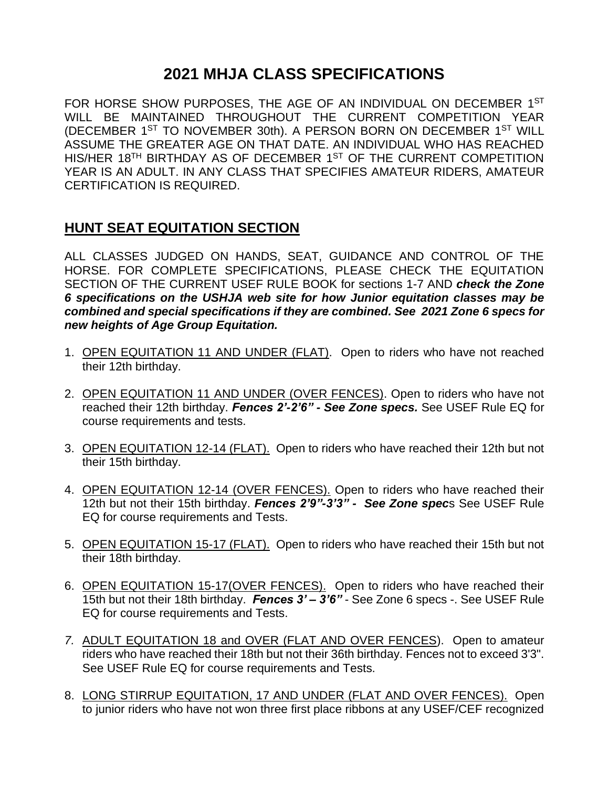# **2021 MHJA CLASS SPECIFICATIONS**

FOR HORSE SHOW PURPOSES, THE AGE OF AN INDIVIDUAL ON DECEMBER 1ST WILL BE MAINTAINED THROUGHOUT THE CURRENT COMPETITION YEAR (DECEMBER 1<sup>ST</sup> TO NOVEMBER 30th). A PERSON BORN ON DECEMBER 1<sup>ST</sup> WILL ASSUME THE GREATER AGE ON THAT DATE. AN INDIVIDUAL WHO HAS REACHED HIS/HER 18<sup>TH</sup> BIRTHDAY AS OF DECEMBER 1<sup>ST</sup> OF THE CURRENT COMPETITION YEAR IS AN ADULT. IN ANY CLASS THAT SPECIFIES AMATEUR RIDERS, AMATEUR CERTIFICATION IS REQUIRED.

## **HUNT SEAT EQUITATION SECTION**

ALL CLASSES JUDGED ON HANDS, SEAT, GUIDANCE AND CONTROL OF THE HORSE. FOR COMPLETE SPECIFICATIONS, PLEASE CHECK THE EQUITATION SECTION OF THE CURRENT USEF RULE BOOK for sections 1-7 AND *check the Zone 6 specifications on the USHJA web site for how Junior equitation classes may be combined and special specifications if they are combined. See 2021 Zone 6 specs for new heights of Age Group Equitation.*

- 1. OPEN EQUITATION 11 AND UNDER (FLAT). Open to riders who have not reached their 12th birthday.
- 2. OPEN EQUITATION 11 AND UNDER (OVER FENCES). Open to riders who have not reached their 12th birthday. *Fences 2'-2'6" - See Zone specs.* See USEF Rule EQ for course requirements and tests.
- 3. OPEN EQUITATION 12-14 (FLAT). Open to riders who have reached their 12th but not their 15th birthday.
- 4. OPEN EQUITATION 12-14 (OVER FENCES). Open to riders who have reached their 12th but not their 15th birthday. *Fences 2'9"-3'3" - See Zone spec*s See USEF Rule EQ for course requirements and Tests.
- 5. OPEN EQUITATION 15-17 (FLAT). Open to riders who have reached their 15th but not their 18th birthday.
- 6. OPEN EQUITATION 15-17(OVER FENCES). Open to riders who have reached their 15th but not their 18th birthday. *Fences 3' – 3'6"* - See Zone 6 specs -. See USEF Rule EQ for course requirements and Tests.
- *7.* ADULT EQUITATION 18 and OVER (FLAT AND OVER FENCES). Open to amateur riders who have reached their 18th but not their 36th birthday. Fences not to exceed 3'3". See USEF Rule EQ for course requirements and Tests.
- 8. LONG STIRRUP EQUITATION, 17 AND UNDER (FLAT AND OVER FENCES). Open to junior riders who have not won three first place ribbons at any USEF/CEF recognized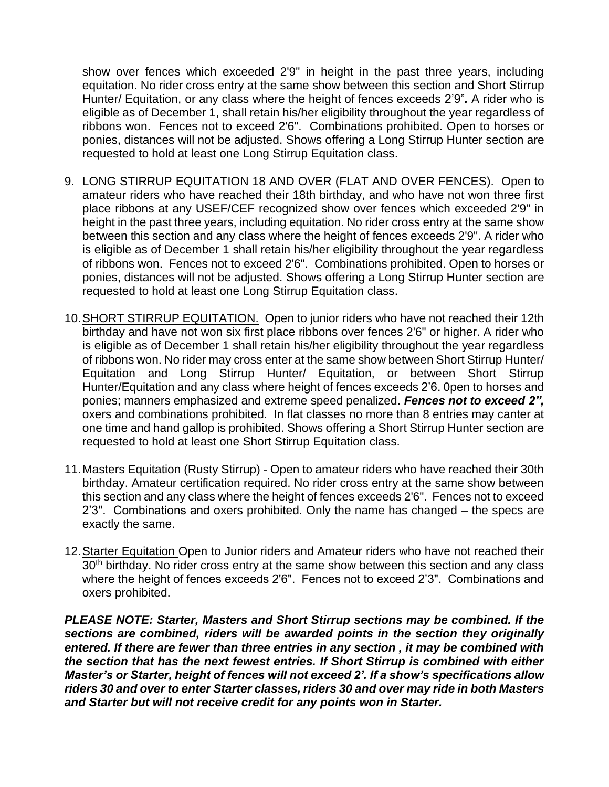show over fences which exceeded 2'9" in height in the past three years, including equitation. No rider cross entry at the same show between this section and Short Stirrup Hunter/ Equitation, or any class where the height of fences exceeds 2'9"*.* A rider who is eligible as of December 1, shall retain his/her eligibility throughout the year regardless of ribbons won. Fences not to exceed 2'6". Combinations prohibited. Open to horses or ponies, distances will not be adjusted. Shows offering a Long Stirrup Hunter section are requested to hold at least one Long Stirrup Equitation class.

- 9. LONG STIRRUP EQUITATION 18 AND OVER (FLAT AND OVER FENCES). Open to amateur riders who have reached their 18th birthday, and who have not won three first place ribbons at any USEF/CEF recognized show over fences which exceeded 2'9" in height in the past three years, including equitation. No rider cross entry at the same show between this section and any class where the height of fences exceeds 2'9". A rider who is eligible as of December 1 shall retain his/her eligibility throughout the year regardless of ribbons won. Fences not to exceed 2'6". Combinations prohibited. Open to horses or ponies, distances will not be adjusted. Shows offering a Long Stirrup Hunter section are requested to hold at least one Long Stirrup Equitation class.
- 10.SHORT STIRRUP EQUITATION. Open to junior riders who have not reached their 12th birthday and have not won six first place ribbons over fences 2'6" or higher. A rider who is eligible as of December 1 shall retain his/her eligibility throughout the year regardless of ribbons won. No rider may cross enter at the same show between Short Stirrup Hunter/ Equitation and Long Stirrup Hunter/ Equitation, or between Short Stirrup Hunter/Equitation and any class where height of fences exceeds 2'6. 0pen to horses and ponies; manners emphasized and extreme speed penalized. *Fences not to exceed 2",* oxers and combinations prohibited. In flat classes no more than 8 entries may canter at one time and hand gallop is prohibited. Shows offering a Short Stirrup Hunter section are requested to hold at least one Short Stirrup Equitation class.
- 11. Masters Equitation (Rusty Stirrup) Open to amateur riders who have reached their 30th birthday. Amateur certification required. No rider cross entry at the same show between this section and any class where the height of fences exceeds 2'6". Fences not to exceed 2'3". Combinations and oxers prohibited. Only the name has changed – the specs are exactly the same.
- 12. Starter Equitation Open to Junior riders and Amateur riders who have not reached their 30<sup>th</sup> birthday. No rider cross entry at the same show between this section and any class where the height of fences exceeds 2'6". Fences not to exceed 2'3". Combinations and oxers prohibited.

*PLEASE NOTE: Starter, Masters and Short Stirrup sections may be combined. If the sections are combined, riders will be awarded points in the section they originally entered. If there are fewer than three entries in any section , it may be combined with the section that has the next fewest entries. If Short Stirrup is combined with either Master's or Starter, height of fences will not exceed 2'. If a show's specifications allow riders 30 and over to enter Starter classes, riders 30 and over may ride in both Masters and Starter but will not receive credit for any points won in Starter.*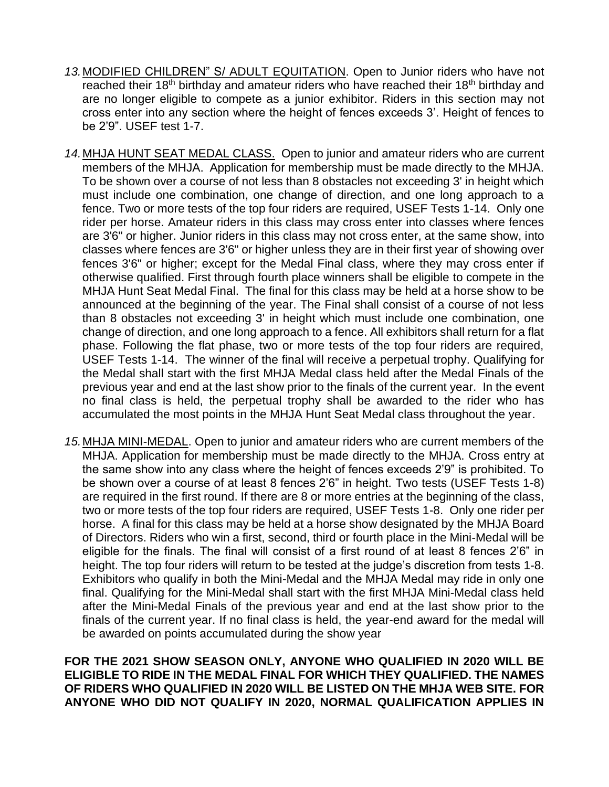- *13.*MODIFIED CHILDREN" S/ ADULT EQUITATION. Open to Junior riders who have not reached their 18<sup>th</sup> birthday and amateur riders who have reached their 18<sup>th</sup> birthday and are no longer eligible to compete as a junior exhibitor. Riders in this section may not cross enter into any section where the height of fences exceeds 3'. Height of fences to be 2'9". USEF test 1-7.
- *14.*MHJA HUNT SEAT MEDAL CLASS. Open to junior and amateur riders who are current members of the MHJA. Application for membership must be made directly to the MHJA. To be shown over a course of not less than 8 obstacles not exceeding 3' in height which must include one combination, one change of direction, and one long approach to a fence. Two or more tests of the top four riders are required, USEF Tests 1-14. Only one rider per horse. Amateur riders in this class may cross enter into classes where fences are 3'6" or higher. Junior riders in this class may not cross enter, at the same show, into classes where fences are 3'6" or higher unless they are in their first year of showing over fences 3'6" or higher; except for the Medal Final class, where they may cross enter if otherwise qualified. First through fourth place winners shall be eligible to compete in the MHJA Hunt Seat Medal Final. The final for this class may be held at a horse show to be announced at the beginning of the year. The Final shall consist of a course of not less than 8 obstacles not exceeding 3' in height which must include one combination, one change of direction, and one long approach to a fence. All exhibitors shall return for a flat phase. Following the flat phase, two or more tests of the top four riders are required, USEF Tests 1-14. The winner of the final will receive a perpetual trophy. Qualifying for the Medal shall start with the first MHJA Medal class held after the Medal Finals of the previous year and end at the last show prior to the finals of the current year.In the event no final class is held, the perpetual trophy shall be awarded to the rider who has accumulated the most points in the MHJA Hunt Seat Medal class throughout the year.
- *15.*MHJA MINI-MEDAL. Open to junior and amateur riders who are current members of the MHJA. Application for membership must be made directly to the MHJA. Cross entry at the same show into any class where the height of fences exceeds 2'9" is prohibited. To be shown over a course of at least 8 fences 2'6" in height. Two tests (USEF Tests 1-8) are required in the first round. If there are 8 or more entries at the beginning of the class, two or more tests of the top four riders are required, USEF Tests 1-8. Only one rider per horse. A final for this class may be held at a horse show designated by the MHJA Board of Directors. Riders who win a first, second, third or fourth place in the Mini-Medal will be eligible for the finals. The final will consist of a first round of at least 8 fences 2'6" in height. The top four riders will return to be tested at the judge's discretion from tests 1-8. Exhibitors who qualify in both the Mini-Medal and the MHJA Medal may ride in only one final. Qualifying for the Mini-Medal shall start with the first MHJA Mini-Medal class held after the Mini-Medal Finals of the previous year and end at the last show prior to the finals of the current year. If no final class is held, the year-end award for the medal will be awarded on points accumulated during the show year

**FOR THE 2021 SHOW SEASON ONLY, ANYONE WHO QUALIFIED IN 2020 WILL BE ELIGIBLE TO RIDE IN THE MEDAL FINAL FOR WHICH THEY QUALIFIED. THE NAMES OF RIDERS WHO QUALIFIED IN 2020 WILL BE LISTED ON THE MHJA WEB SITE. FOR ANYONE WHO DID NOT QUALIFY IN 2020, NORMAL QUALIFICATION APPLIES IN**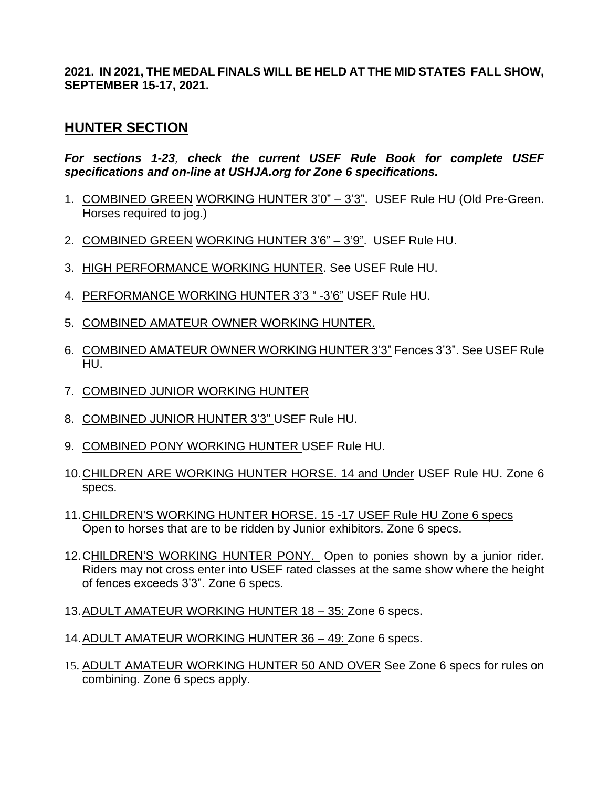**2021. IN 2021, THE MEDAL FINALS WILL BE HELD AT THE MID STATES FALL SHOW, SEPTEMBER 15-17, 2021.**

## **HUNTER SECTION**

*For sections 1-23, check the current USEF Rule Book for complete USEF specifications and on-line at USHJA.org for Zone 6 specifications.*

- 1. COMBINED GREEN WORKING HUNTER 3'0" 3'3". USEF Rule HU (Old Pre-Green. Horses required to jog.)
- 2. COMBINED GREEN WORKING HUNTER 3'6" 3'9". USEF Rule HU.
- 3. HIGH PERFORMANCE WORKING HUNTER. See USEF Rule HU.
- 4. PERFORMANCE WORKING HUNTER 3'3 " -3'6" USEF Rule HU.
- 5. COMBINED AMATEUR OWNER WORKING HUNTER.
- 6. COMBINED AMATEUR OWNER WORKING HUNTER 3'3" Fences 3'3". See USEF Rule HU.
- 7. COMBINED JUNIOR WORKING HUNTER
- 8. COMBINED JUNIOR HUNTER 3'3" USEF Rule HU.
- 9. COMBINED PONY WORKING HUNTER USEF Rule HU.
- 10.CHILDREN ARE WORKING HUNTER HORSE. 14 and Under USEF Rule HU. Zone 6 specs.
- 11. CHILDREN'S WORKING HUNTER HORSE. 15 -17 USEF Rule HU Zone 6 specs Open to horses that are to be ridden by Junior exhibitors. Zone 6 specs.
- 12. CHILDREN'S WORKING HUNTER PONY. Open to ponies shown by a junior rider. Riders may not cross enter into USEF rated classes at the same show where the height of fences exceeds 3'3". Zone 6 specs.
- 13.ADULT AMATEUR WORKING HUNTER 18 35: Zone 6 specs.
- 14.ADULT AMATEUR WORKING HUNTER 36 49: Zone 6 specs.
- 15. ADULT AMATEUR WORKING HUNTER 50 AND OVER See Zone 6 specs for rules on combining. Zone 6 specs apply.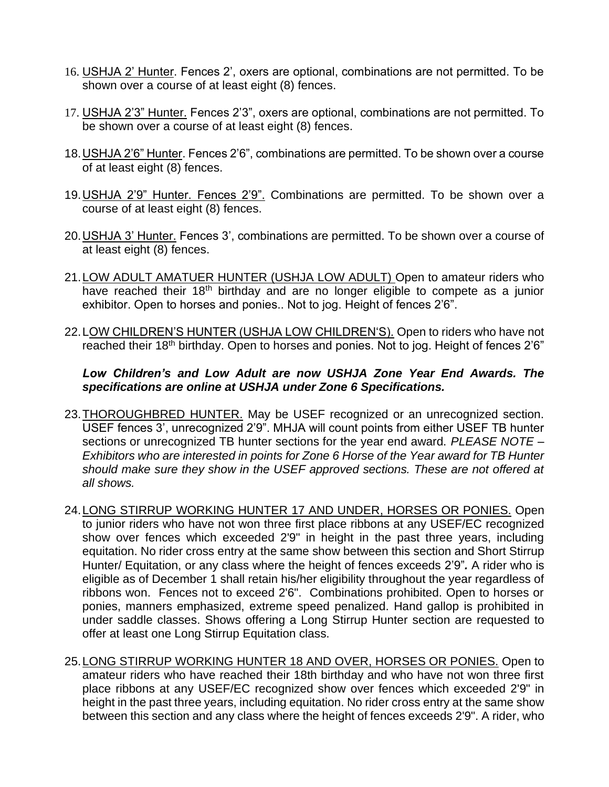- 16. USHJA 2' Hunter. Fences 2', oxers are optional, combinations are not permitted. To be shown over a course of at least eight (8) fences.
- 17. USHJA 2'3" Hunter. Fences 2'3", oxers are optional, combinations are not permitted. To be shown over a course of at least eight (8) fences.
- 18.USHJA 2'6" Hunter. Fences 2'6", combinations are permitted. To be shown over a course of at least eight (8) fences.
- 19.USHJA 2'9" Hunter. Fences 2'9". Combinations are permitted. To be shown over a course of at least eight (8) fences.
- 20.USHJA 3' Hunter. Fences 3', combinations are permitted. To be shown over a course of at least eight (8) fences.
- 21. LOW ADULT AMATUER HUNTER (USHJA LOW ADULT) Open to amateur riders who have reached their 18<sup>th</sup> birthday and are no longer eligible to compete as a junior exhibitor. Open to horses and ponies.. Not to jog. Height of fences 2'6".
- 22.LOW CHILDREN'S HUNTER (USHJA LOW CHILDREN'S). Open to riders who have not reached their 18<sup>th</sup> birthday. Open to horses and ponies. Not to jog. Height of fences 2'6"

#### *Low Children's and Low Adult are now USHJA Zone Year End Awards. The specifications are online at USHJA under Zone 6 Specifications.*

- 23. THOROUGHBRED HUNTER. May be USEF recognized or an unrecognized section. USEF fences 3', unrecognized 2'9". MHJA will count points from either USEF TB hunter sections or unrecognized TB hunter sections for the year end award. *PLEASE NOTE – Exhibitors who are interested in points for Zone 6 Horse of the Year award for TB Hunter should make sure they show in the USEF approved sections. These are not offered at all shows.*
- 24. LONG STIRRUP WORKING HUNTER 17 AND UNDER, HORSES OR PONIES. Open to junior riders who have not won three first place ribbons at any USEF/EC recognized show over fences which exceeded 2'9" in height in the past three years, including equitation. No rider cross entry at the same show between this section and Short Stirrup Hunter/ Equitation, or any class where the height of fences exceeds 2'9"*.* A rider who is eligible as of December 1 shall retain his/her eligibility throughout the year regardless of ribbons won. Fences not to exceed 2'6". Combinations prohibited. Open to horses or ponies, manners emphasized, extreme speed penalized. Hand gallop is prohibited in under saddle classes. Shows offering a Long Stirrup Hunter section are requested to offer at least one Long Stirrup Equitation class.
- 25.LONG STIRRUP WORKING HUNTER 18 AND OVER, HORSES OR PONIES. Open to amateur riders who have reached their 18th birthday and who have not won three first place ribbons at any USEF/EC recognized show over fences which exceeded 2'9" in height in the past three years, including equitation. No rider cross entry at the same show between this section and any class where the height of fences exceeds 2'9". A rider, who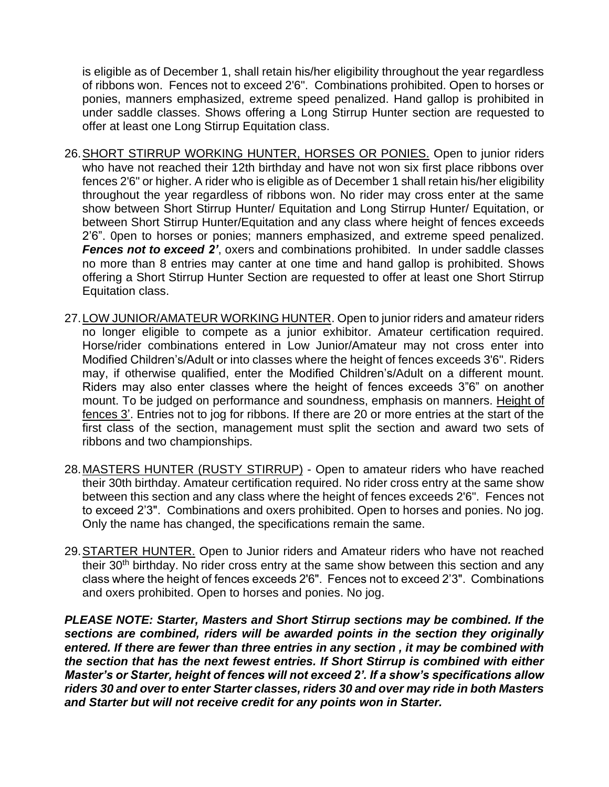is eligible as of December 1, shall retain his/her eligibility throughout the year regardless of ribbons won. Fences not to exceed 2'6". Combinations prohibited. Open to horses or ponies, manners emphasized, extreme speed penalized. Hand gallop is prohibited in under saddle classes. Shows offering a Long Stirrup Hunter section are requested to offer at least one Long Stirrup Equitation class.

- 26.SHORT STIRRUP WORKING HUNTER, HORSES OR PONIES. Open to junior riders who have not reached their 12th birthday and have not won six first place ribbons over fences 2'6" or higher. A rider who is eligible as of December 1 shall retain his/her eligibility throughout the year regardless of ribbons won. No rider may cross enter at the same show between Short Stirrup Hunter/ Equitation and Long Stirrup Hunter/ Equitation, or between Short Stirrup Hunter/Equitation and any class where height of fences exceeds 2'6". 0pen to horses or ponies; manners emphasized, and extreme speed penalized. *Fences not to exceed 2'*, oxers and combinations prohibited. In under saddle classes no more than 8 entries may canter at one time and hand gallop is prohibited. Shows offering a Short Stirrup Hunter Section are requested to offer at least one Short Stirrup Equitation class.
- 27. LOW JUNIOR/AMATEUR WORKING HUNTER. Open to junior riders and amateur riders no longer eligible to compete as a junior exhibitor. Amateur certification required. Horse/rider combinations entered in Low Junior/Amateur may not cross enter into Modified Children's/Adult or into classes where the height of fences exceeds 3'6". Riders may, if otherwise qualified, enter the Modified Children's/Adult on a different mount. Riders may also enter classes where the height of fences exceeds 3"6" on another mount. To be judged on performance and soundness, emphasis on manners. Height of fences 3'. Entries not to jog for ribbons. If there are 20 or more entries at the start of the first class of the section, management must split the section and award two sets of ribbons and two championships.
- 28. MASTERS HUNTER (RUSTY STIRRUP) Open to amateur riders who have reached their 30th birthday. Amateur certification required. No rider cross entry at the same show between this section and any class where the height of fences exceeds 2'6". Fences not to exceed 2'3". Combinations and oxers prohibited. Open to horses and ponies. No jog. Only the name has changed, the specifications remain the same.
- 29. STARTER HUNTER. Open to Junior riders and Amateur riders who have not reached their 30<sup>th</sup> birthday. No rider cross entry at the same show between this section and any class where the height of fences exceeds 2'6". Fences not to exceed 2'3". Combinations and oxers prohibited. Open to horses and ponies. No jog.

*PLEASE NOTE: Starter, Masters and Short Stirrup sections may be combined. If the sections are combined, riders will be awarded points in the section they originally entered. If there are fewer than three entries in any section , it may be combined with the section that has the next fewest entries. If Short Stirrup is combined with either Master's or Starter, height of fences will not exceed 2'. If a show's specifications allow riders 30 and over to enter Starter classes, riders 30 and over may ride in both Masters and Starter but will not receive credit for any points won in Starter.*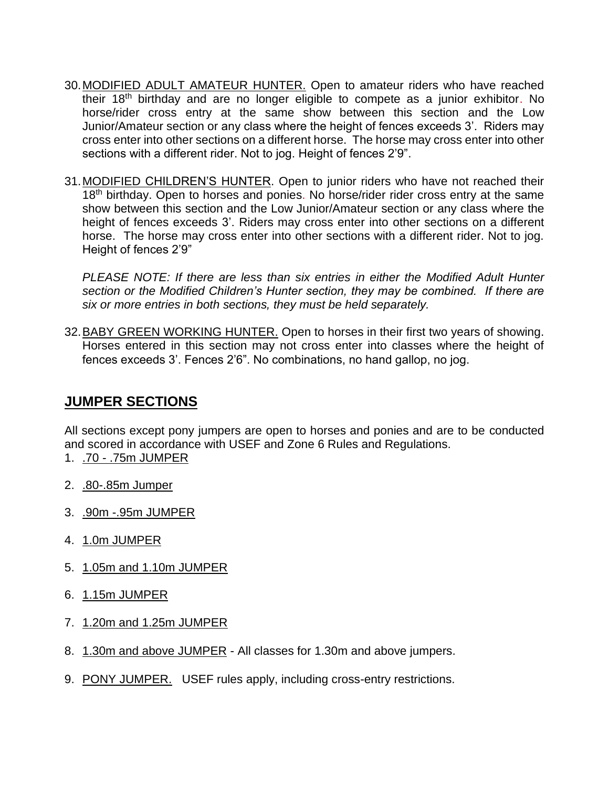- 30.MODIFIED ADULT AMATEUR HUNTER. Open to amateur riders who have reached their 18<sup>th</sup> birthday and are no longer eligible to compete as a junior exhibitor. No horse/rider cross entry at the same show between this section and the Low Junior/Amateur section or any class where the height of fences exceeds 3'. Riders may cross enter into other sections on a different horse. The horse may cross enter into other sections with a different rider. Not to jog. Height of fences 2'9".
- 31.MODIFIED CHILDREN'S HUNTER. Open to junior riders who have not reached their 18<sup>th</sup> birthday. Open to horses and ponies. No horse/rider rider cross entry at the same show between this section and the Low Junior/Amateur section or any class where the height of fences exceeds 3'. Riders may cross enter into other sections on a different horse. The horse may cross enter into other sections with a different rider. Not to jog. Height of fences 2'9"

*PLEASE NOTE: If there are less than six entries in either the Modified Adult Hunter section or the Modified Children's Hunter section, they may be combined. If there are six or more entries in both sections, they must be held separately.*

32. BABY GREEN WORKING HUNTER. Open to horses in their first two years of showing. Horses entered in this section may not cross enter into classes where the height of fences exceeds 3'. Fences 2'6". No combinations, no hand gallop, no jog.

## **JUMPER SECTIONS**

All sections except pony jumpers are open to horses and ponies and are to be conducted and scored in accordance with USEF and Zone 6 Rules and Regulations.

- 1. .70 .75m JUMPER
- 2. .80-.85m Jumper
- 3. .90m -.95m JUMPER
- 4. 1.0m JUMPER
- 5. 1.05m and 1.10m JUMPER
- 6. 1.15m JUMPER
- 7. 1.20m and 1.25m JUMPER
- 8. 1.30m and above JUMPER All classes for 1.30m and above jumpers.
- 9. PONY JUMPER. USEF rules apply, including cross-entry restrictions.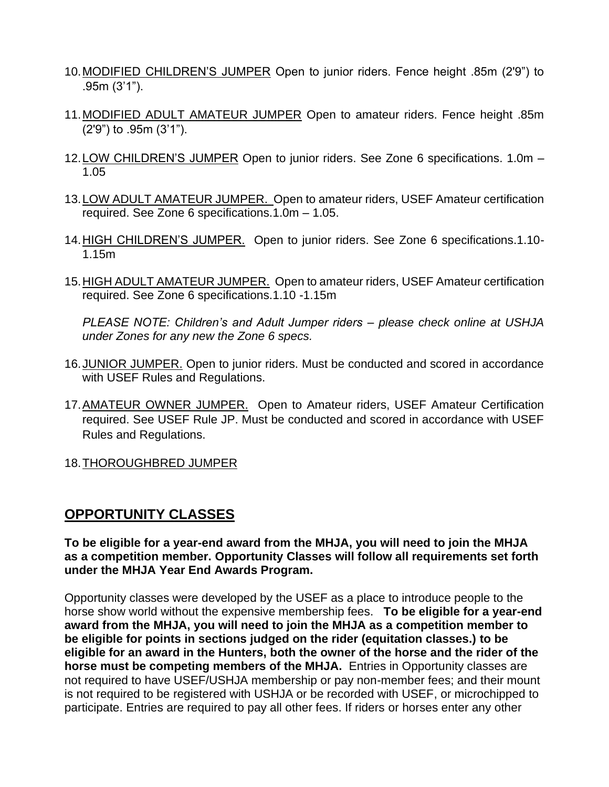- 10.MODIFIED CHILDREN'S JUMPER Open to junior riders. Fence height .85m (2'9") to .95m (3'1").
- 11.MODIFIED ADULT AMATEUR JUMPER Open to amateur riders. Fence height .85m (2'9") to .95m (3'1").
- 12.LOW CHILDREN'S JUMPER Open to junior riders. See Zone 6 specifications. 1.0m 1.05
- 13.LOW ADULT AMATEUR JUMPER. Open to amateur riders, USEF Amateur certification required. See Zone 6 specifications.1.0m – 1.05.
- 14. HIGH CHILDREN'S JUMPER. Open to junior riders. See Zone 6 specifications.1.10-1.15m
- 15.HIGH ADULT AMATEUR JUMPER. Open to amateur riders, USEF Amateur certification required. See Zone 6 specifications.1.10 -1.15m

*PLEASE NOTE: Children's and Adult Jumper riders – please check online at USHJA under Zones for any new the Zone 6 specs.*

- 16.JUNIOR JUMPER. Open to junior riders. Must be conducted and scored in accordance with USEF Rules and Regulations.
- 17.AMATEUR OWNER JUMPER. Open to Amateur riders, USEF Amateur Certification required. See USEF Rule JP. Must be conducted and scored in accordance with USEF Rules and Regulations.
- 18.THOROUGHBRED JUMPER

## **OPPORTUNITY CLASSES**

**To be eligible for a year-end award from the MHJA, you will need to join the MHJA as a competition member. Opportunity Classes will follow all requirements set forth under the MHJA Year End Awards Program.**

Opportunity classes were developed by the USEF as a place to introduce people to the horse show world without the expensive membership fees. **To be eligible for a year-end award from the MHJA, you will need to join the MHJA as a competition member to be eligible for points in sections judged on the rider (equitation classes.) to be eligible for an award in the Hunters, both the owner of the horse and the rider of the horse must be competing members of the MHJA.** Entries in Opportunity classes are not required to have USEF/USHJA membership or pay non-member fees; and their mount is not required to be registered with USHJA or be recorded with USEF, or microchipped to participate. Entries are required to pay all other fees. If riders or horses enter any other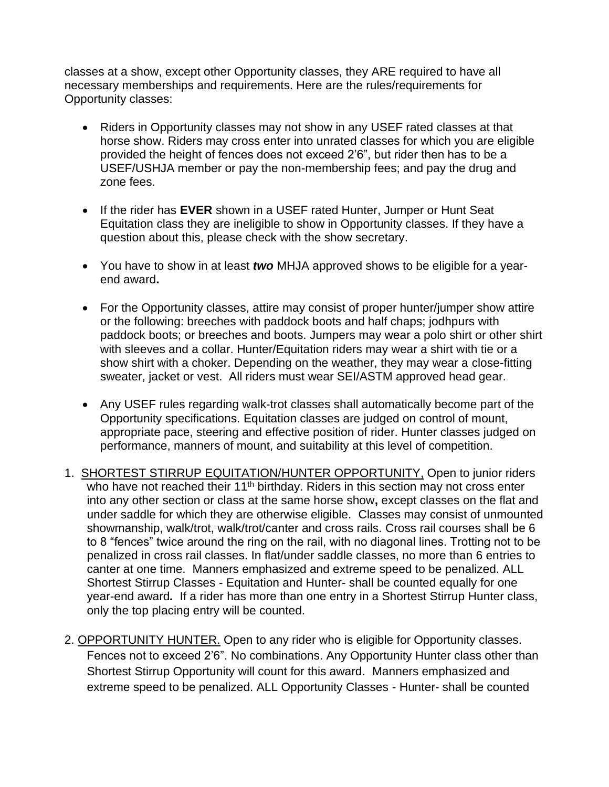classes at a show, except other Opportunity classes, they ARE required to have all necessary memberships and requirements. Here are the rules/requirements for Opportunity classes:

- Riders in Opportunity classes may not show in any USEF rated classes at that horse show. Riders may cross enter into unrated classes for which you are eligible provided the height of fences does not exceed 2'6", but rider then has to be a USEF/USHJA member or pay the non-membership fees; and pay the drug and zone fees.
- If the rider has **EVER** shown in a USEF rated Hunter, Jumper or Hunt Seat Equitation class they are ineligible to show in Opportunity classes. If they have a question about this, please check with the show secretary.
- You have to show in at least *two* MHJA approved shows to be eligible for a yearend award**.**
- For the Opportunity classes, attire may consist of proper hunter/jumper show attire or the following: breeches with paddock boots and half chaps; jodhpurs with paddock boots; or breeches and boots. Jumpers may wear a polo shirt or other shirt with sleeves and a collar. Hunter/Equitation riders may wear a shirt with tie or a show shirt with a choker. Depending on the weather, they may wear a close-fitting sweater, jacket or vest. All riders must wear SEI/ASTM approved head gear.
- Any USEF rules regarding walk-trot classes shall automatically become part of the Opportunity specifications. Equitation classes are judged on control of mount, appropriate pace, steering and effective position of rider. Hunter classes judged on performance, manners of mount, and suitability at this level of competition.
- 1. SHORTEST STIRRUP EQUITATION/HUNTER OPPORTUNITY, Open to junior riders who have not reached their 11<sup>th</sup> birthday. Riders in this section may not cross enter into any other section or class at the same horse show**,** except classes on the flat and under saddle for which they are otherwise eligible.Classes may consist of unmounted showmanship, walk/trot, walk/trot/canter and cross rails. Cross rail courses shall be 6 to 8 "fences" twice around the ring on the rail, with no diagonal lines. Trotting not to be penalized in cross rail classes. In flat/under saddle classes, no more than 6 entries to canter at one time. Manners emphasized and extreme speed to be penalized. ALL Shortest Stirrup Classes - Equitation and Hunter- shall be counted equally for one year-end award*.* If a rider has more than one entry in a Shortest Stirrup Hunter class, only the top placing entry will be counted.
- 2. OPPORTUNITY HUNTER. Open to any rider who is eligible for Opportunity classes. Fences not to exceed 2'6". No combinations. Any Opportunity Hunter class other than Shortest Stirrup Opportunity will count for this award. Manners emphasized and extreme speed to be penalized. ALL Opportunity Classes - Hunter- shall be counted